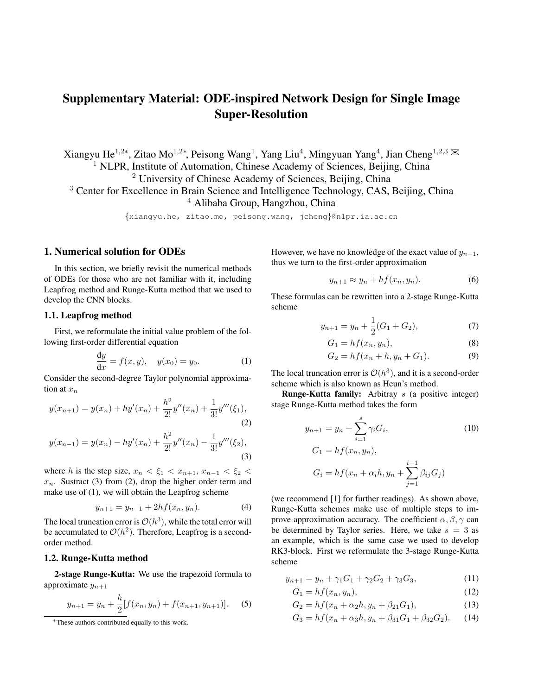# Supplementary Material: ODE-inspired Network Design for Single Image Super-Resolution

Xiangyu He<sup>1,2∗</sup>, Zitao Mo<sup>1,2∗</sup>, Peisong Wang<sup>1</sup>, Yang Liu<sup>4</sup>, Mingyuan Yang<sup>4</sup>, Jian Cheng<sup>1,2,3</sup> <sup>1</sup> NLPR, Institute of Automation, Chinese Academy of Sciences, Beijing, China <sup>2</sup> University of Chinese Academy of Sciences, Beijing, China <sup>3</sup> Center for Excellence in Brain Science and Intelligence Technology, CAS, Beijing, China <sup>4</sup> Alibaba Group, Hangzhou, China

{xiangyu.he, zitao.mo, peisong.wang, jcheng}@nlpr.ia.ac.cn

### 1. Numerical solution for ODEs

In this section, we briefly revisit the numerical methods of ODEs for those who are not familiar with it, including Leapfrog method and Runge-Kutta method that we used to develop the CNN blocks.

#### 1.1. Leapfrog method

First, we reformulate the initial value problem of the following first-order differential equation

$$
\frac{dy}{dx} = f(x, y), \quad y(x_0) = y_0.
$$
 (1)

Consider the second-degree Taylor polynomial approximation at  $x_n$ 

$$
y(x_{n+1}) = y(x_n) + hy'(x_n) + \frac{h^2}{2!}y''(x_n) + \frac{1}{3!}y'''(\xi_1),
$$
\n(2)

$$
y(x_{n-1}) = y(x_n) - hy'(x_n) + \frac{h^2}{2!}y''(x_n) - \frac{1}{3!}y'''(\xi_2),
$$
\n(3)

where h is the step size,  $x_n < \xi_1 < x_{n+1}$ ,  $x_{n-1} < \xi_2$  $x_n$ . Sustract (3) from (2), drop the higher order term and make use of (1), we will obtain the Leapfrog scheme

$$
y_{n+1} = y_{n-1} + 2hf(x_n, y_n). \tag{4}
$$

The local truncation error is  $\mathcal{O}(h^3)$ , while the total error will be accumulated to  $\mathcal{O}(h^2)$ . Therefore, Leapfrog is a secondorder method.

#### 1.2. Runge-Kutta method

2-stage Runge-Kutta: We use the trapezoid formula to approximate  $y_{n+1}$ 

$$
y_{n+1} = y_n + \frac{h}{2} [f(x_n, y_n) + f(x_{n+1}, y_{n+1})]. \tag{5}
$$

However, we have no knowledge of the exact value of  $y_{n+1}$ , thus we turn to the first-order approximation

$$
y_{n+1} \approx y_n + h f(x_n, y_n). \tag{6}
$$

These formulas can be rewritten into a 2-stage Runge-Kutta scheme

$$
y_{n+1} = y_n + \frac{1}{2}(G_1 + G_2),\tag{7}
$$

$$
G_1 = h f(x_n, y_n), \tag{8}
$$

$$
G_2 = h f(x_n + h, y_n + G_1).
$$
 (9)

The local truncation error is  $\mathcal{O}(h^3)$ , and it is a second-order scheme which is also known as Heun's method.

**Runge-Kutta family:** Arbitray  $s$  (a positive integer) stage Runge-Kutta method takes the form

$$
y_{n+1} = y_n + \sum_{i=1}^{s} \gamma_i G_i,
$$
\n(10)  
\n
$$
G_1 = h f(x_n, y_n),
$$
\n
$$
G_i = h f(x_n + \alpha_i h, y_n + \sum_{j=1}^{i-1} \beta_{ij} G_j)
$$

(we recommend [1] for further readings). As shown above, Runge-Kutta schemes make use of multiple steps to improve approximation accuracy. The coefficient  $\alpha, \beta, \gamma$  can be determined by Taylor series. Here, we take  $s = 3$  as an example, which is the same case we used to develop RK3-block. First we reformulate the 3-stage Runge-Kutta scheme

$$
y_{n+1} = y_n + \gamma_1 G_1 + \gamma_2 G_2 + \gamma_3 G_3,\tag{11}
$$

$$
G_1 = hf(x_n, y_n),\tag{12}
$$

$$
G_2 = hf(x_n + \alpha_2 h, y_n + \beta_{21} G_1),
$$
\n(13)

$$
G_3 = h f(x_n + \alpha_3 h, y_n + \beta_{31} G_1 + \beta_{32} G_2). \tag{14}
$$

<sup>∗</sup>These authors contributed equally to this work.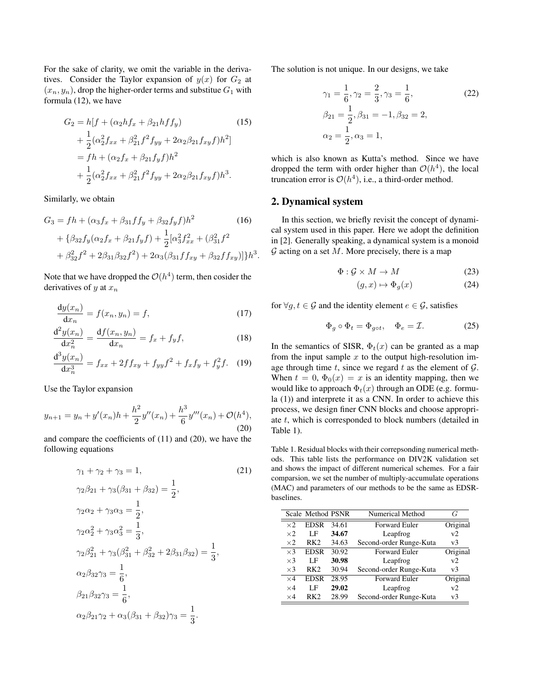For the sake of clarity, we omit the variable in the derivatives. Consider the Taylor expansion of  $y(x)$  for  $G_2$  at  $(x_n, y_n)$ , drop the higher-order terms and substitue  $G_1$  with formula (12), we have

$$
G_2 = h[f + (\alpha_2 hf_x + \beta_{21} hf_y)
$$
(15)  
+  $\frac{1}{2} (\alpha_2^2 f_{xx} + \beta_{21}^2 f^2 f_{yy} + 2\alpha_2 \beta_{21} f_{xy} f)h^2$ ]  
=  $fh + (\alpha_2 f_x + \beta_{21} f_y f)h^2$   
+  $\frac{1}{2} (\alpha_2^2 f_{xx} + \beta_{21}^2 f^2 f_{yy} + 2\alpha_2 \beta_{21} f_{xy} f)h^3$ .

Similarly, we obtain

$$
G_3 = fh + (\alpha_3 f_x + \beta_{31} f f_y + \beta_{32} f_y f)h^2
$$
\n
$$
+ \{\beta_{32} f_y (\alpha_2 f_x + \beta_{21} f_y f) + \frac{1}{2} [\alpha_3^2 f_{xx}^2 + (\beta_{31}^2 f^2 + \beta_{32}^2 f^2 + 2\beta_{31} \beta_{32} f^2) + 2\alpha_3 (\beta_{31} f f_{xy} + \beta_{32} f f_{xy})]\}h^3
$$
\n(16)

Note that we have dropped the  $\mathcal{O}(h^4)$  term, then cosider the derivatives of y at  $x_n$ 

$$
\frac{\mathrm{d}y(x_n)}{\mathrm{d}x_n} = f(x_n, y_n) = f,\tag{17}
$$

$$
\frac{\mathrm{d}^2 y(x_n)}{\mathrm{d}x_n^2} = \frac{\mathrm{d}f(x_n, y_n)}{\mathrm{d}x_n} = f_x + f_y f,\tag{18}
$$

$$
\frac{d^3y(x_n)}{dx_n^3} = f_{xx} + 2ff_{xy} + f_{yy}f^2 + f_xf_y + f_y^2f. \tag{19}
$$

Use the Taylor expansion

$$
y_{n+1} = y_n + y'(x_n)h + \frac{h^2}{2}y''(x_n) + \frac{h^3}{6}y'''(x_n) + \mathcal{O}(h^4),
$$
\n(20)

and compare the coefficients of (11) and (20), we have the following equations

$$
\gamma_1 + \gamma_2 + \gamma_3 = 1,
$$
\n
$$
\gamma_2 \beta_{21} + \gamma_3 (\beta_{31} + \beta_{32}) = \frac{1}{2},
$$
\n
$$
\gamma_2 \alpha_2 + \gamma_3 \alpha_3 = \frac{1}{2},
$$
\n
$$
\gamma_2 \alpha_2^2 + \gamma_3 \alpha_3^2 = \frac{1}{3},
$$
\n
$$
\gamma_2 \beta_{21}^2 + \gamma_3 (\beta_{31}^2 + \beta_{32}^2 + 2\beta_{31} \beta_{32}) = \frac{1}{3},
$$
\n
$$
\alpha_2 \beta_{32} \gamma_3 = \frac{1}{6},
$$
\n
$$
\beta_{21} \beta_{32} \gamma_3 = \frac{1}{6},
$$
\n
$$
\alpha_2 \beta_{21} \gamma_2 + \alpha_3 (\beta_{31} + \beta_{32}) \gamma_3 = \frac{1}{3}.
$$
\n(21)

The solution is not unique. In our designs, we take

$$
\gamma_1 = \frac{1}{6}, \gamma_2 = \frac{2}{3}, \gamma_3 = \frac{1}{6},
$$
  
\n
$$
\beta_{21} = \frac{1}{2}, \beta_{31} = -1, \beta_{32} = 2,
$$
  
\n
$$
\alpha_2 = \frac{1}{2}, \alpha_3 = 1,
$$
\n(22)

which is also known as Kutta's method. Since we have dropped the term with order higher than  $\mathcal{O}(h^4)$ , the local truncation error is  $\mathcal{O}(h^4)$ , i.e., a third-order method.

### 2. Dynamical system

.

In this section, we briefly revisit the concept of dynamical system used in this paper. Here we adopt the definition in [2]. Generally speaking, a dynamical system is a monoid  $G$  acting on a set  $M$ . More precisely, there is a map

$$
\Phi: \mathcal{G} \times M \to M \tag{23}
$$

$$
(g, x) \mapsto \Phi_g(x) \tag{24}
$$

for  $\forall g, t \in \mathcal{G}$  and the identity element  $e \in \mathcal{G}$ , satisfies

$$
\Phi_g \circ \Phi_t = \Phi_{g \circ t}, \quad \Phi_e = \mathcal{I}.
$$
\n(25)

In the semantics of SISR,  $\Phi_t(x)$  can be granted as a map from the input sample  $x$  to the output high-resolution image through time t, since we regard t as the element of  $\mathcal{G}$ . When  $t = 0$ ,  $\Phi_0(x) = x$  is an identity mapping, then we would like to approach  $\Phi_t(x)$  through an ODE (e.g. formula (1)) and interprete it as a CNN. In order to achieve this process, we design finer CNN blocks and choose appropriate t, which is corresponded to block numbers (detailed in Table 1).

Table 1. Residual blocks with their correpsonding numerical methods. This table lists the performance on DIV2K validation set and shows the impact of different numerical schemes. For a fair comparsion, we set the number of multiply-accumulate operations (MAC) and parameters of our methods to be the same as EDSRbaselines.

|            | Scale Method PSNR |       | Numerical Method        | G              |
|------------|-------------------|-------|-------------------------|----------------|
| $\times 2$ | <b>EDSR</b>       | 34.61 | <b>Forward Euler</b>    | Original       |
| $\times 2$ | LF                | 34.67 | Leapfrog                | V              |
| $\times 2$ | RK2               | 34.63 | Second-order Runge-Kuta | v <sub>3</sub> |
| $\times$ 3 | <b>EDSR</b>       | 30.92 | <b>Forward Euler</b>    | Original       |
| $\times$ 3 | LF                | 30.98 | Leapfrog                | V              |
| $\times$ 3 | RK <sub>2</sub>   | 30.94 | Second-order Runge-Kuta | v <sub>3</sub> |
| $\times$ 4 | <b>EDSR</b>       | 28.95 | <b>Forward Euler</b>    | Original       |
| $\times 4$ | LF                | 29.02 | Leapfrog                | v2             |
| $\times 4$ | RK2               | 28.99 | Second-order Runge-Kuta | v <sub>3</sub> |